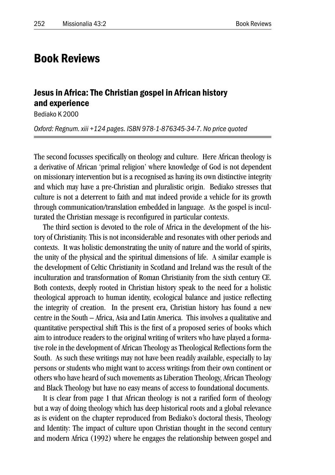# Book Reviews

## Jesus in Africa: The Christian gospel in African history and experience

Bediako K 2000

*Oxford: Regnum. xiii +124 pages. ISBN 978-1-876345-34-7. No price quoted*

The second focusses specifically on theology and culture. Here African theology is a derivative of African 'primal religion' where knowledge of God is not dependent on missionary intervention but is a recognised as having its own distinctive integrity and which may have a pre-Christian and pluralistic origin. Bediako stresses that culture is not a deterrent to faith and mat indeed provide a vehicle for its growth through communication/translation embedded in language. As the gospel is inculturated the Christian message is reconfigured in particular contexts.

The third section is devoted to the role of Africa in the development of the history of Christianity. This is not inconsiderable and resonates with other periods and contexts. It was holistic demonstrating the unity of nature and the world of spirits, the unity of the physical and the spiritual dimensions of life. A similar example is the development of Celtic Christianity in Scotland and Ireland was the result of the inculturation and transformation of Roman Christianity from the sixth century CE. Both contexts, deeply rooted in Christian history speak to the need for a holistic theological approach to human identity, ecological balance and justice reflecting the integrity of creation. In the present era, Christian history has found a new centre in the South – Africa, Asia and Latin America. This involves a qualitative and quantitative perspectival shift This is the first of a proposed series of books which aim to introduce readers to the original writing of writers who have played a formative role in the development of African Theology as Theological Reflections form the South. As such these writings may not have been readily available, especially to lay persons or students who might want to access writings from their own continent or others who have heard of such movements as Liberation Theology, African Theology and Black Theology but have no easy means of access to foundational documents.

It is clear from page 1 that African theology is not a rarified form of theology but a way of doing theology which has deep historical roots and a global relevance as is evident on the chapter reproduced from Bediako's doctoral thesis, Theology and Identity: The impact of culture upon Christian thought in the second century and modern Africa (1992) where he engages the relationship between gospel and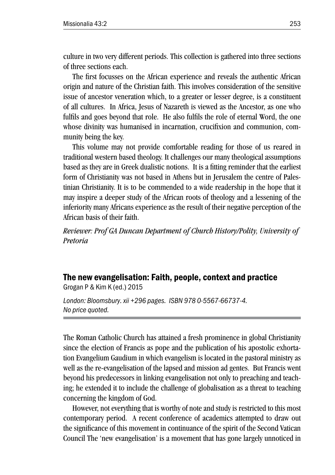culture in two very different periods. This collection is gathered into three sections of three sections each.

The first focusses on the African experience and reveals the authentic African origin and nature of the Christian faith. This involves consideration of the sensitive issue of ancestor veneration which, to a greater or lesser degree, is a constituent of all cultures. In Africa, Jesus of Nazareth is viewed as the Ancestor, as one who fulfils and goes beyond that role. He also fulfils the role of eternal Word, the one whose divinity was humanised in incarnation, crucifixion and communion, community being the key.

This volume may not provide comfortable reading for those of us reared in traditional western based theology. It challenges our many theological assumptions based as they are in Greek dualistic notions. It is a fitting reminder that the earliest form of Christianity was not based in Athens but in Jerusalem the centre of Palestinian Christianity. It is to be commended to a wide readership in the hope that it may inspire a deeper study of the African roots of theology and a lessening of the inferiority many Africans experience as the result of their negative perception of the African basis of their faith.

*Reviewer: Prof GA Duncan Department of Church History/Polity, University of Pretoria*

## The new evangelisation: Faith, people, context and practice

Grogan P & Kim K (ed.) 2015

*London: Bloomsbury. xii +296 pages. ISBN 978 0-5567-66737-4. No price quoted.*

The Roman Catholic Church has attained a fresh prominence in global Christianity since the election of Francis as pope and the publication of his apostolic exhortation Evangelium Gaudium in which evangelism is located in the pastoral ministry as well as the re-evangelisation of the lapsed and mission ad gentes. But Francis went beyond his predecessors in linking evangelisation not only to preaching and teaching; he extended it to include the challenge of globalisation as a threat to teaching concerning the kingdom of God.

However, not everything that is worthy of note and study is restricted to this most contemporary period. A recent conference of academics attempted to draw out the significance of this movement in continuance of the spirit of the Second Vatican Council The 'new evangelisation' is a movement that has gone largely unnoticed in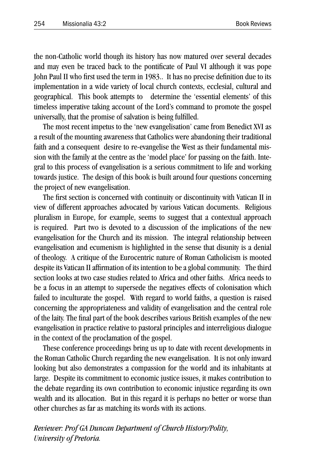the non-Catholic world though its history has now matured over several decades and may even be traced back to the pontificate of Paul VI although it was pope John Paul II who first used the term in 1983.. It has no precise definition due to its implementation in a wide variety of local church contexts, ecclesial, cultural and geographical. This book attempts to determine the 'essential elements' of this timeless imperative taking account of the Lord's command to promote the gospel universally, that the promise of salvation is being fulfilled.

The most recent impetus to the 'new evangelisation' came from Benedict XVI as a result of the mounting awareness that Catholics were abandoning their traditional faith and a consequent desire to re-evangelise the West as their fundamental mission with the family at the centre as the 'model place' for passing on the faith. Integral to this process of evangelisation is a serious commitment to life and working towards justice. The design of this book is built around four questions concerning the project of new evangelisation.

The first section is concerned with continuity or discontinuity with Vatican II in view of different approaches advocated by various Vatican documents. Religious pluralism in Europe, for example, seems to suggest that a contextual approach is required. Part two is devoted to a discussion of the implications of the new evangelisation for the Church and its mission. The integral relationship between evangelisation and ecumenism is highlighted in the sense that disunity is a denial of theology. A critique of the Eurocentric nature of Roman Catholicism is mooted despite its Vatican II affirmation of its intention to be a global community. The third section looks at two case studies related to Africa and other faiths. Africa needs to be a focus in an attempt to supersede the negatives effects of colonisation which failed to inculturate the gospel. With regard to world faiths, a question is raised concerning the appropriateness and validity of evangelisation and the central role of the laity. The final part of the book describes various British examples of the new evangelisation in practice relative to pastoral principles and interreligious dialogue in the context of the proclamation of the gospel.

These conference proceedings bring us up to date with recent developments in the Roman Catholic Church regarding the new evangelisation. It is not only inward looking but also demonstrates a compassion for the world and its inhabitants at large. Despite its commitment to economic justice issues, it makes contribution to the debate regarding its own contribution to economic injustice regarding its own wealth and its allocation. But in this regard it is perhaps no better or worse than other churches as far as matching its words with its actions.

*Reviewer: Prof GA Duncan Department of Church History/Polity, University of Pretoria.*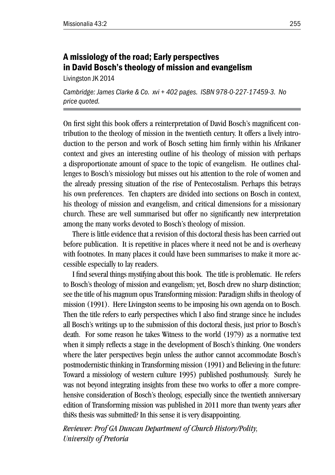# A missiology of the road; Early perspectives in David Bosch's theology of mission and evangelism

Livingston JK 2014

*Cambridge: James Clarke & Co. xvi + 402 pages. ISBN 978-0-227-17459-3. No price quoted.*

On first sight this book offers a reinterpretation of David Bosch's magnificent contribution to the theology of mission in the twentieth century. It offers a lively introduction to the person and work of Bosch setting him firmly within his Afrikaner context and gives an interesting outline of his theology of mission with perhaps a disproportionate amount of space to the topic of evangelism. He outlines challenges to Bosch's missiology but misses out his attention to the role of women and the already pressing situation of the rise of Pentecostalism. Perhaps this betrays his own preferences. Ten chapters are divided into sections on Bosch in context, his theology of mission and evangelism, and critical dimensions for a missionary church. These are well summarised but offer no significantly new interpretation among the many works devoted to Bosch's theology of mission.

There is little evidence that a revision of this doctoral thesis has been carried out before publication. It is repetitive in places where it need not be and is overheavy with footnotes. In many places it could have been summarises to make it more accessible especially to lay readers.

I find several things mystifying about this book. The title is problematic. He refers to Bosch's theology of mission and evangelism; yet, Bosch drew no sharp distinction; see the title of his magnum opus Transforming mission: Paradigm shifts in theology of mission (1991). Here Livingston seems to be imposing his own agenda on to Bosch. Then the title refers to early perspectives which I also find strange since he includes all Bosch's writings up to the submission of this doctoral thesis, just prior to Bosch's death. For some reason he takes Witness to the world (1979) as a normative text when it simply reflects a stage in the development of Bosch's thinking. One wonders where the later perspectives begin unless the author cannot accommodate Bosch's postmodernistic thinking in Transforming mission (1991) and Believing in the future: Toward a missiology of western culture 1995) published posthumously. Surely he was not beyond integrating insights from these two works to offer a more comprehensive consideration of Bosch's theology, especially since the twentieth anniversary edition of Transforming mission was published in 2011 more than twenty years after thi8s thesis was submitted? In this sense it is very disappointing.

*Reviewer: Prof GA Duncan Department of Church History/Polity, University of Pretoria*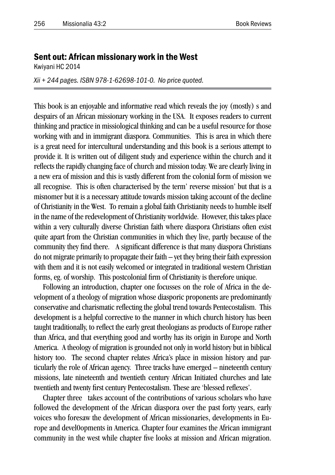#### Sent out: African missionary work in the West

Kwiyani HC 2014

*Xii + 244 pages. ISBN 978-1-62698-101-0. No price quoted.*

This book is an enjoyable and informative read which reveals the joy (mostly) s and despairs of an African missionary working in the USA. It exposes readers to current thinking and practice in missiological thinking and can be a useful resource for those working with and in immigrant diaspora. Communities. This is area in which there is a great need for intercultural understanding and this book is a serious attempt to provide it. It is written out of diligent study and experience within the church and it reflects the rapidly changing face of church and mission today. We are clearly living in a new era of mission and this is vastly different from the colonial form of mission we all recognise. This is often characterised by the term' reverse mission' but that is a misnomer but it is a necessary attitude towards mission taking account of the decline of Christianity in the West. To remain a global faith Christianity needs to humble itself in the name of the redevelopment of Christianity worldwide. However, this takes place within a very culturally diverse Christian faith where diaspora Christians often exist quite apart from the Christian communities in which they live, partly because of the community they find there. A significant difference is that many diaspora Christians do not migrate primarily to propagate their faith – yet they bring their faith expression with them and it is not easily welcomed or integrated in traditional western Christian forms, eg. of worship. This postcolonial firm of Christianity is therefore unique.

Following an introduction, chapter one focusses on the role of Africa in the development of a theology of migration whose diasporic proponents are predominantly conservative and charismatic reflecting the global trend towards Pentecostalism. This development is a helpful corrective to the manner in which church history has been taught traditionally, to reflect the early great theologians as products of Europe rather than Africa, and that everything good and worthy has its origin in Europe and North America. A theology of migration is grounded not only in world history but in biblical history too. The second chapter relates Africa's place in mission history and particularly the role of African agency. Three tracks have emerged – nineteenth century missions, late nineteenth and twentieth century African Initiated churches and late twentieth and twenty first century Pentecostalism. These are 'blessed reflexes'.

Chapter three takes account of the contributions of various scholars who have followed the development of the African diaspora over the past forty years, early voices who foresaw the development of African missionaries, developments in Europe and devel0opments in America. Chapter four examines the African immigrant community in the west while chapter five looks at mission and African migration.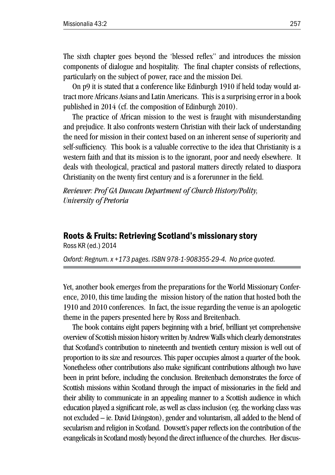The sixth chapter goes beyond the 'blessed reflex" and introduces the mission components of dialogue and hospitality. The final chapter consists of reflections, particularly on the subject of power, race and the mission Dei.

On p9 it is stated that a conference like Edinburgh 1910 if held today would attract more Africans Asians and Latin Americans. This is a surprising error in a book published in 2014 (cf. the composition of Edinburgh 2010).

The practice of African mission to the west is fraught with misunderstanding and prejudice. It also confronts western Christian with their lack of understanding the need for mission in their context based on an inherent sense of superiority and self-sufficiency. This book is a valuable corrective to the idea that Christianity is a western faith and that its mission is to the ignorant, poor and needy elsewhere. It deals with theological, practical and pastoral matters directly related to diaspora Christianity on the twenty first century and is a forerunner in the field.

*Reviewer: Prof GA Duncan Department of Church History/Polity, University of Pretoria*

### Roots & Fruits: Retrieving Scotland's missionary story

Ross KR (ed.) 2014

*Oxford: Regnum. x +173 pages. ISBN 978-1-908355-29-4. No price quoted.*

Yet, another book emerges from the preparations for the World Missionary Conference, 2010, this time lauding the mission history of the nation that hosted both the 1910 and 2010 conferences. In fact, the issue regarding the venue is an apologetic theme in the papers presented here by Ross and Breitenbach.

The book contains eight papers beginning with a brief, brilliant yet comprehensive overview of Scottish mission history written by Andrew Walls which clearly demonstrates that Scotland's contribution to nineteenth and twentieth century mission is well out of proportion to its size and resources. This paper occupies almost a quarter of the book. Nonetheless other contributions also make significant contributions although two have been in print before, including the conclusion. Breitenbach demonstrates the force of Scottish missions within Scotland through the impact of missionaries in the field and their ability to communicate in an appealing manner to a Scottish audience in which education played a significant role, as well as class inclusion (eg. the working class was not excluded – ie. David Livingston), gender and voluntarism, all added to the blend of secularism and religion in Scotland. Dowsett's paper reflects ion the contribution of the evangelicals in Scotland mostly beyond the direct influence of the churches. Her discus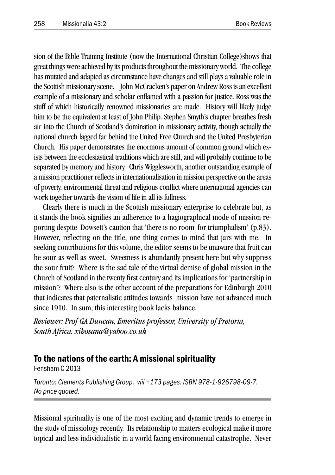sion of the Bible Training Institute (now the International Christian College)shows that great things were achieved by its products throughout the missionary world. The college has mutated and adapted as circumstance have changes and still plays a valuable role in the Scottish missionary scene. John McCracken's paper on Andrew Ross is an excellent example of a missionary and scholar enflamed with a passion for justice. Ross was the stuff of which historically renowned missionaries are made. History will likely judge him to be the equivalent at least of John Philip. Stephen Smyth's chapter breathes fresh air into the Church of Scotland's domination in missionary activity, though actually the national church lagged far behind the United Free Church and the United Presbyterian Church. His paper demonstrates the enormous amount of common ground which exists between the ecclesiastical traditions which are still, and will probably continue to be separated by memory and history. Chris Wigglesworth, another outstanding example of a mission practitioner reflects in internationalisation in mission perspective on the areas of poverty, environmental threat and religious conflict where international agencies can work together towards the vision of life in all its fullness.

Clearly there is much in the Scottish missionary enterprise to celebrate but, as it stands the book signifies an adherence to a hagiographical mode of mission reporting despite Dowsett's caution that 'there is no room for triumphalism' (p.83). However, reflecting on the title, one thing comes to mind that jars with me. In seeking contributions for this volume, the editor seems to be unaware that fruit can be sour as well as sweet. Sweetness is abundantly present here but why suppress the sour fruit? Where is the sad tale of the virtual demise of global mission in the Church of Scotland in the twenty first century and its implications for 'partnership in mission'? Where also is the other account of the preparations for Edinburgh 2010 that indicates that paternalistic attitudes towards mission have not advanced much since 1910. In sum, this interesting book lacks balance.

*Reviewer: Prof GA Duncan, Emeritus professor, University of Pretoria, South Africa. xihosana@yahoo.co.uk*

#### To the nations of the earth: A missional spirituality

Fensham C 2013

*Toronto: Clements Publishing Group. viii +173 pages. ISBN 978-1-926798-09-7. No price quoted.*

Missional spirituality is one of the most exciting and dynamic trends to emerge in the study of missiology recently. Its relationship to matters ecological make it more topical and less individualistic in a world facing environmental catastrophe. Never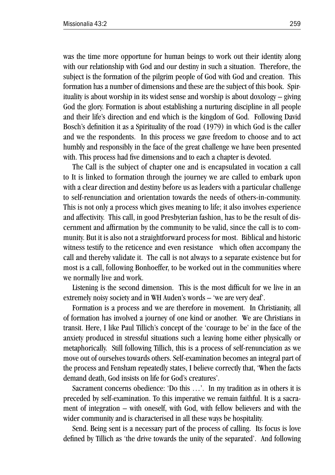was the time more opportune for human beings to work out their identity along with our relationship with God and our destiny in such a situation. Therefore, the subject is the formation of the pilgrim people of God with God and creation. This formation has a number of dimensions and these are the subject of this book. Spirituality is about worship in its widest sense and worship is about doxology – giving God the glory. Formation is about establishing a nurturing discipline in all people and their life's direction and end which is the kingdom of God. Following David Bosch's definition it as a Spirituality of the road (1979) in which God is the caller and we the respondents. In this process we gave freedom to choose and to act humbly and responsibly in the face of the great challenge we have been presented with. This process had five dimensions and to each a chapter is devoted.

The Call is the subject of chapter one and is encapsulated in vocation a call to It is linked to formation through the journey we are called to embark upon with a clear direction and destiny before us as leaders with a particular challenge to self-renunciation and orientation towards the needs of others-in-community. This is not only a process which gives meaning to life; it also involves experience and affectivity. This call, in good Presbyterian fashion, has to be the result of discernment and affirmation by the community to be valid, since the call is to community. But it is also not a straightforward process for most. Biblical and historic witness testify to the reticence and even resistance which often accompany the call and thereby validate it. The call is not always to a separate existence but for most is a call, following Bonhoeffer, to be worked out in the communities where we normally live and work.

Listening is the second dimension. This is the most difficult for we live in an extremely noisy society and in WH Auden's words – 'we are very deaf'.

Formation is a process and we are therefore in movement. In Christianity, all of formation has involved a journey of one kind or another. We are Christians in transit. Here, I like Paul Tillich's concept of the 'courage to be' in the face of the anxiety produced in stressful situations such a leaving home either physically or metaphorically. Still following Tillich, this is a process of self-renunciation as we move out of ourselves towards others. Self-examination becomes an integral part of the process and Fensham repeatedly states, I believe correctly that, 'When the facts demand death, God insists on life for God's creatures'.

Sacrament concerns obedience: 'Do this …'. In my tradition as in others it is preceded by self-examination. To this imperative we remain faithful. It is a sacrament of integration – with oneself, with God, with fellow believers and with the wider community and is characterised in all these ways be hospitality.

Send. Being sent is a necessary part of the process of calling. Its focus is love defined by Tillich as 'the drive towards the unity of the separated'. And following